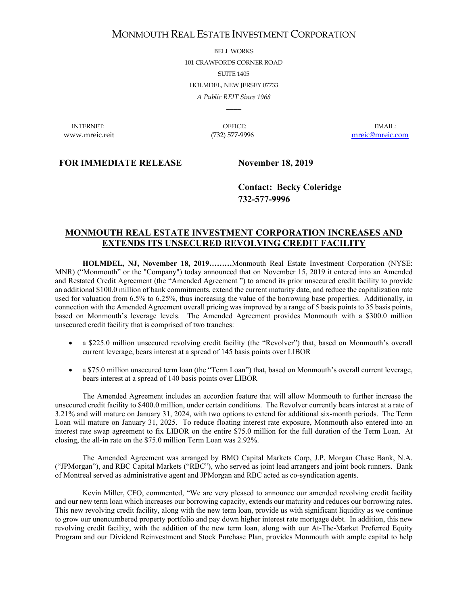# MONMOUTH REAL ESTATE INVESTMENT CORPORATION

BELL WORKS 101 CRAWFORDS CORNER ROAD SUITE 1405 HOLMDEL, NEW JERSEY 07733 *A Public REIT Since 1968*

INTERNET: OFFICE: EMAIL:

 $\overline{\phantom{a}}$ 

www.mreic.reit (732) 577-9996 [mreic@mreic.com](mailto:mreic@mreic.com)

### **FOR IMMEDIATE RELEASE November 18, 2019**

**Contact: Becky Coleridge 732-577-9996**

## **MONMOUTH REAL ESTATE INVESTMENT CORPORATION INCREASES AND EXTENDS ITS UNSECURED REVOLVING CREDIT FACILITY**

**HOLMDEL, NJ, November 18, 2019………**Monmouth Real Estate Investment Corporation (NYSE: MNR) ("Monmouth" or the "Company") today announced that on November 15, 2019 it entered into an Amended and Restated Credit Agreement (the "Amended Agreement ") to amend its prior unsecured credit facility to provide an additional \$100.0 million of bank commitments, extend the current maturity date, and reduce the capitalization rate used for valuation from 6.5% to 6.25%, thus increasing the value of the borrowing base properties. Additionally, in connection with the Amended Agreement overall pricing was improved by a range of 5 basis points to 35 basis points, based on Monmouth's leverage levels. The Amended Agreement provides Monmouth with a \$300.0 million unsecured credit facility that is comprised of two tranches:

- a \$225.0 million unsecured revolving credit facility (the "Revolver") that, based on Monmouth's overall current leverage, bears interest at a spread of 145 basis points over LIBOR
- a \$75.0 million unsecured term loan (the "Term Loan") that, based on Monmouth's overall current leverage, bears interest at a spread of 140 basis points over LIBOR

The Amended Agreement includes an accordion feature that will allow Monmouth to further increase the unsecured credit facility to \$400.0 million, under certain conditions. The Revolver currently bears interest at a rate of 3.21% and will mature on January 31, 2024, with two options to extend for additional six-month periods. The Term Loan will mature on January 31, 2025. To reduce floating interest rate exposure, Monmouth also entered into an interest rate swap agreement to fix LIBOR on the entire \$75.0 million for the full duration of the Term Loan. At closing, the all-in rate on the \$75.0 million Term Loan was 2.92%.

The Amended Agreement was arranged by BMO Capital Markets Corp, J.P. Morgan Chase Bank, N.A. ("JPMorgan"), and RBC Capital Markets ("RBC"), who served as joint lead arrangers and joint book runners. Bank of Montreal served as administrative agent and JPMorgan and RBC acted as co-syndication agents.

Kevin Miller, CFO, commented, "We are very pleased to announce our amended revolving credit facility and our new term loan which increases our borrowing capacity, extends our maturity and reduces our borrowing rates. This new revolving credit facility, along with the new term loan, provide us with significant liquidity as we continue to grow our unencumbered property portfolio and pay down higher interest rate mortgage debt. In addition, this new revolving credit facility, with the addition of the new term loan, along with our At-The-Market Preferred Equity Program and our Dividend Reinvestment and Stock Purchase Plan, provides Monmouth with ample capital to help